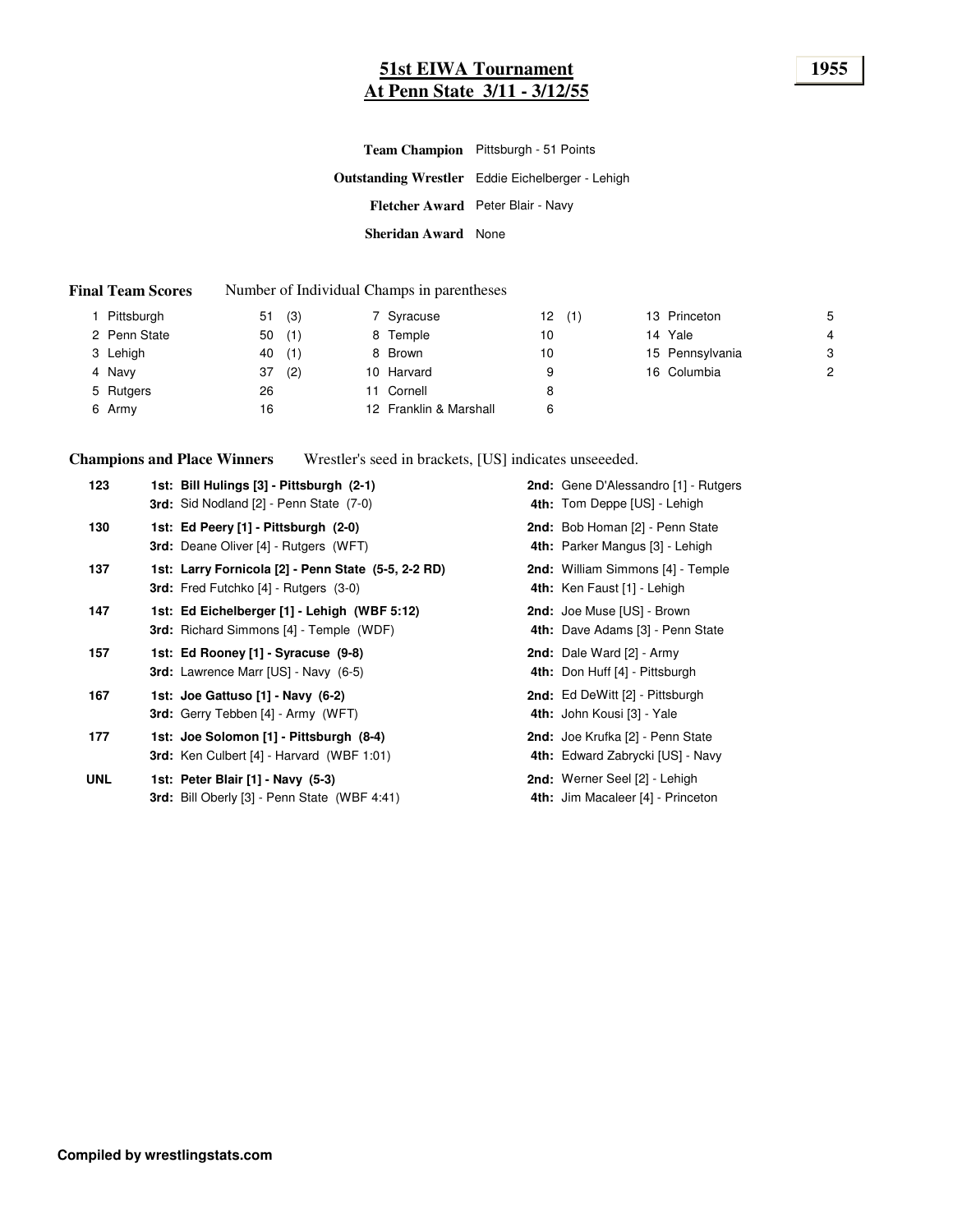### **51st EIWA Tournament 1955 At Penn State 3/11 - 3/12/55**

|                            | Team Champion Pittsburgh - 51 Points                    |
|----------------------------|---------------------------------------------------------|
|                            | <b>Outstanding Wrestler</b> Eddie Eichelberger - Lehigh |
|                            | Fletcher Award Peter Blair - Navy                       |
| <b>Sheridan Award</b> None |                                                         |

#### **Final Team Scores** Number of Individual Champs in parentheses

| Pittsburgh   | (3)<br>51 | 7 Syracuse             | (1)<br>12 | 13 Princeton    | 5 |
|--------------|-----------|------------------------|-----------|-----------------|---|
| 2 Penn State | (1)<br>50 | 8 Temple               | 10        | 14 Yale         | 4 |
| 3 Lehigh     | (1)<br>40 | 8 Brown                | 10        | 15 Pennsylvania | 3 |
| 4 Navy       | (2)<br>37 | 10 Harvard             | 9         | 16 Columbia     | 2 |
| 5 Rutgers    | 26        | 11 Cornell             | 8         |                 |   |
| 6 Army       | 16        | 12 Franklin & Marshall | 6         |                 |   |

**Champions and Place Winners** Wrestler's seed in brackets, [US] indicates unseeeded.

| 123        | 1st: Bill Hulings [3] - Pittsburgh (2-1)<br>3rd: Sid Nodland [2] - Penn State (7-0)                 | 2nd: Gene D'Alessandro [1] - Rutgers<br>4th: Tom Deppe [US] - Lehigh      |
|------------|-----------------------------------------------------------------------------------------------------|---------------------------------------------------------------------------|
| 130        | 1st: Ed Peery [1] - Pittsburgh (2-0)<br>3rd: Deane Oliver [4] - Rutgers (WFT)                       | 2nd: Bob Homan [2] - Penn State<br>4th: Parker Mangus [3] - Lehigh        |
| 137        | 1st: Larry Fornicola [2] - Penn State (5-5, 2-2 RD)<br><b>3rd:</b> Fred Futchko [4] - Rutgers (3-0) | 2nd: William Simmons [4] - Temple<br>4th: Ken Faust [1] - Lehigh          |
| 147        | 1st: Ed Eichelberger [1] - Lehigh (WBF 5:12)<br><b>3rd:</b> Richard Simmons [4] - Temple (WDF)      | 2nd: Joe Muse [US] - Brown<br>4th: Dave Adams [3] - Penn State            |
| 157        | 1st: Ed Rooney [1] - Syracuse (9-8)<br><b>3rd:</b> Lawrence Marr [US] - Navy (6-5)                  | 2nd: Dale Ward [2] - Army<br>4th: Don Huff [4] - Pittsburgh               |
| 167        | 1st: Joe Gattuso [1] - Navy (6-2)<br>3rd: Gerry Tebben [4] - Army (WFT)                             | 2nd: Ed DeWitt [2] - Pittsburgh<br>4th: John Kousi [3] - Yale             |
| 177        | 1st: Joe Solomon [1] - Pittsburgh (8-4)<br><b>3rd:</b> Ken Culbert [4] - Harvard (WBF 1:01)         | 2nd: Joe Krufka [2] - Penn State<br>4th: Edward Zabrycki [US] - Navy      |
| <b>UNL</b> | 1st: Peter Blair [1] - Navy (5-3)<br>3rd: Bill Oberly [3] - Penn State (WBF 4:41)                   | <b>2nd:</b> Werner Seel [2] - Lehigh<br>4th: Jim Macaleer [4] - Princeton |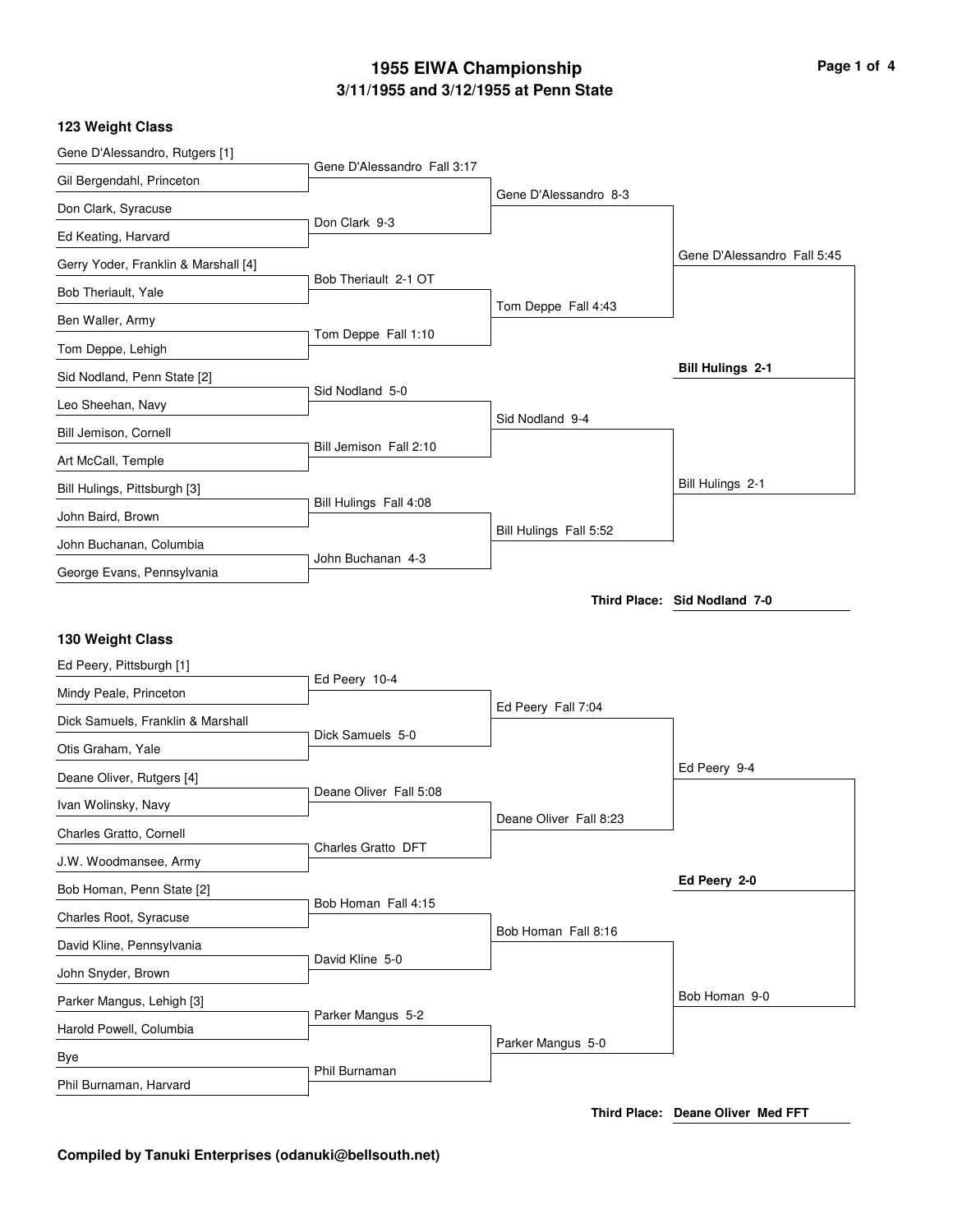# **3/11/1955 and 3/12/1955 at Penn State 1955 EIWA Championship Page 1 of 4**

### **123 Weight Class**

| Gene D'Alessandro, Rutgers [1]               |                             |                        |                              |
|----------------------------------------------|-----------------------------|------------------------|------------------------------|
| Gil Bergendahl, Princeton                    | Gene D'Alessandro Fall 3:17 |                        |                              |
| Don Clark, Syracuse                          |                             | Gene D'Alessandro 8-3  |                              |
| Ed Keating, Harvard                          | Don Clark 9-3               |                        |                              |
| Gerry Yoder, Franklin & Marshall [4]         |                             |                        | Gene D'Alessandro Fall 5:45  |
| Bob Theriault, Yale                          | Bob Theriault 2-1 OT        |                        |                              |
| Ben Waller, Army                             |                             | Tom Deppe Fall 4:43    |                              |
| Tom Deppe, Lehigh                            | Tom Deppe Fall 1:10         |                        |                              |
| Sid Nodland, Penn State [2]                  |                             |                        | <b>Bill Hulings 2-1</b>      |
| Leo Sheehan, Navy                            | Sid Nodland 5-0             |                        |                              |
| Bill Jemison, Cornell                        |                             | Sid Nodland 9-4        |                              |
| Art McCall, Temple                           | Bill Jemison Fall 2:10      |                        |                              |
| Bill Hulings, Pittsburgh [3]                 |                             |                        | Bill Hulings 2-1             |
| John Baird, Brown                            | Bill Hulings Fall 4:08      |                        |                              |
| John Buchanan, Columbia                      |                             | Bill Hulings Fall 5:52 |                              |
| George Evans, Pennsylvania                   | John Buchanan 4-3           |                        |                              |
|                                              |                             |                        | Third Place: Sid Nodland 7-0 |
|                                              |                             |                        |                              |
| 130 Weight Class<br>Ed Peery, Pittsburgh [1] |                             |                        |                              |
| Mindy Peale, Princeton                       | Ed Peery 10-4               |                        |                              |
| Dick Samuels, Franklin & Marshall            |                             | Ed Peery Fall 7:04     |                              |
| Otis Graham, Yale                            | Dick Samuels 5-0            |                        |                              |
| Deane Oliver, Rutgers [4]                    |                             |                        | Ed Peery 9-4                 |
| Ivan Wolinsky, Navy                          | Deane Oliver Fall 5:08      |                        |                              |
| Charles Gratto, Cornell                      |                             | Deane Oliver Fall 8:23 |                              |
| J.W. Woodmansee, Army                        | Charles Gratto DFT          |                        |                              |
| Bob Homan, Penn State [2]                    |                             |                        | Ed Peery 2-0                 |
| Charles Root, Syracuse                       | Bob Homan Fall 4:15         |                        |                              |
| David Kline, Pennsylvania                    |                             | Bob Homan Fall 8:16    |                              |
| John Snyder, Brown                           | David Kline 5-0             |                        |                              |
| Parker Mangus, Lehigh [3]                    |                             |                        | Bob Homan 9-0                |
| Harold Powell, Columbia                      | Parker Mangus 5-2           |                        |                              |
| Bye                                          | Phil Burnaman               | Parker Mangus 5-0      |                              |

**Third Place: Deane Oliver Med FFT**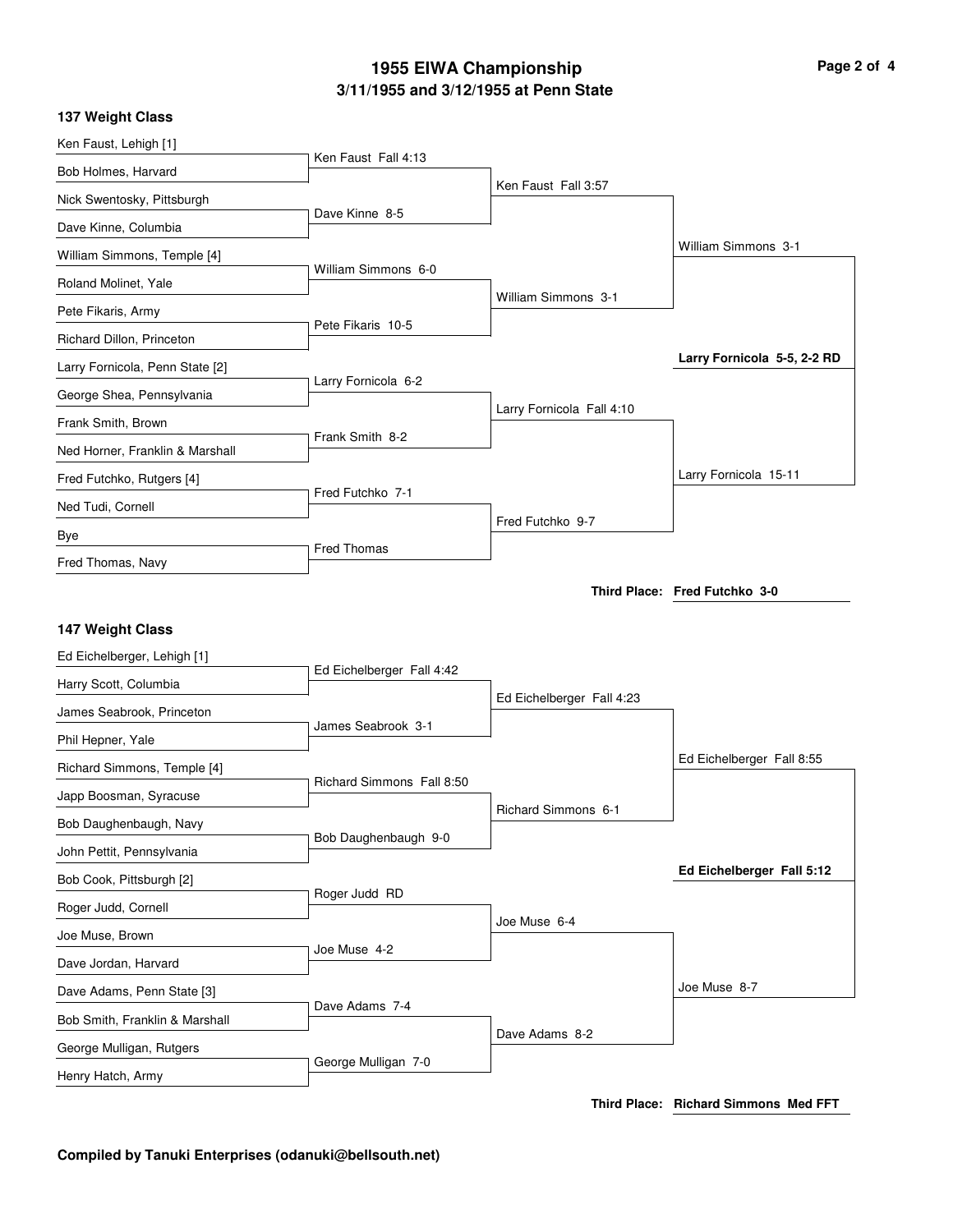# **3/11/1955 and 3/12/1955 at Penn State 1955 EIWA Championship Page 2 of 4**

| Ken Faust, Lehigh [1]                                                    |                           |                           |                               |
|--------------------------------------------------------------------------|---------------------------|---------------------------|-------------------------------|
| Bob Holmes, Harvard                                                      | Ken Faust Fall 4:13       |                           |                               |
| Nick Swentosky, Pittsburgh                                               |                           | Ken Faust Fall 3:57       |                               |
| Dave Kinne, Columbia                                                     | Dave Kinne 8-5            |                           |                               |
| William Simmons, Temple [4]                                              |                           |                           | William Simmons 3-1           |
| Roland Molinet, Yale                                                     | William Simmons 6-0       |                           |                               |
| Pete Fikaris, Army                                                       |                           | William Simmons 3-1       |                               |
| Richard Dillon, Princeton                                                | Pete Fikaris 10-5         |                           |                               |
| Larry Fornicola, Penn State [2]                                          |                           |                           | Larry Fornicola 5-5, 2-2 RD   |
| George Shea, Pennsylvania                                                | Larry Fornicola 6-2       |                           |                               |
| Frank Smith, Brown                                                       |                           | Larry Fornicola Fall 4:10 |                               |
| Ned Horner, Franklin & Marshall                                          | Frank Smith 8-2           |                           |                               |
| Fred Futchko, Rutgers [4]                                                |                           |                           | Larry Fornicola 15-11         |
| Ned Tudi, Cornell                                                        | Fred Futchko 7-1          |                           |                               |
| Bye                                                                      |                           | Fred Futchko 9-7          |                               |
| Fred Thomas, Navy                                                        | <b>Fred Thomas</b>        |                           |                               |
|                                                                          |                           |                           | Third Place: Fred Futchko 3-0 |
|                                                                          |                           |                           |                               |
| 147 Weight Class<br>Ed Eichelberger, Lehigh [1]<br>Harry Scott, Columbia | Ed Eichelberger Fall 4:42 | Ed Eichelberger Fall 4:23 |                               |
| James Seabrook, Princeton                                                | James Seabrook 3-1        |                           |                               |
| Phil Hepner, Yale                                                        |                           |                           |                               |
| Richard Simmons, Temple [4]                                              | Richard Simmons Fall 8:50 |                           | Ed Eichelberger Fall 8:55     |
| Japp Boosman, Syracuse                                                   |                           | Richard Simmons 6-1       |                               |
| Bob Daughenbaugh, Navy                                                   |                           |                           |                               |
| John Pettit, Pennsylvania                                                | Bob Daughenbaugh 9-0      |                           |                               |
| Bob Cook, Pittsburgh [2]                                                 |                           |                           | Ed Eichelberger Fall 5:12     |
| Roger Judd, Cornell                                                      | Roger Judd RD             |                           |                               |
| Joe Muse, Brown                                                          |                           | Joe Muse 6-4              |                               |
| Dave Jordan, Harvard                                                     | Joe Muse 4-2              |                           |                               |
| Dave Adams, Penn State [3]                                               |                           |                           | Joe Muse 8-7                  |
| Bob Smith, Franklin & Marshall                                           | Dave Adams 7-4            |                           |                               |
| George Mulligan, Rutgers                                                 | George Mulligan 7-0       | Dave Adams 8-2            |                               |

**137 Weight Class**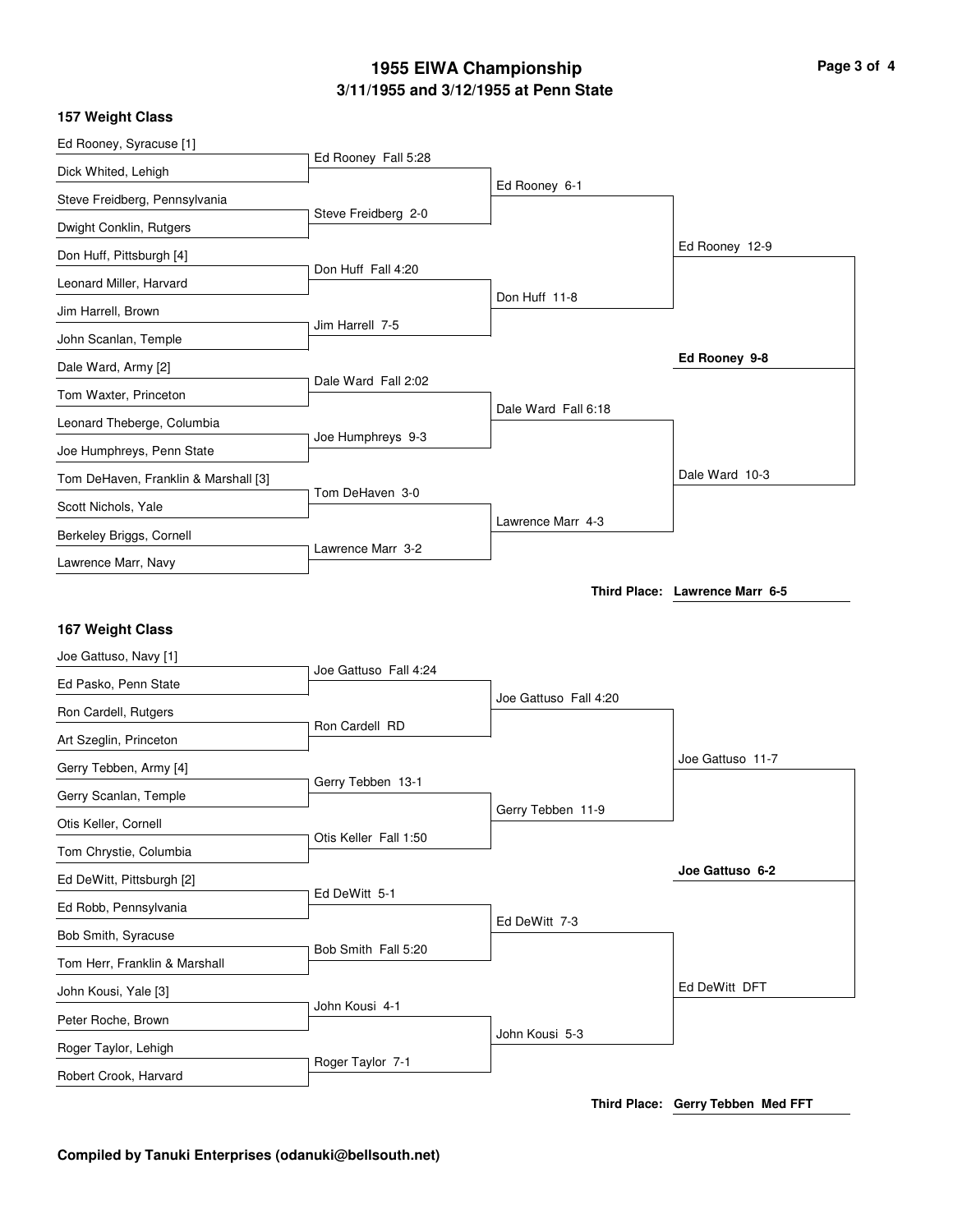# **3/11/1955 and 3/12/1955 at Penn State 1955 EIWA Championship Page 3 of 4**

|  | 157 Weight Class |  |
|--|------------------|--|
|--|------------------|--|

| Ed Rooney, Syracuse [1]                       |                       |                       |                                |
|-----------------------------------------------|-----------------------|-----------------------|--------------------------------|
| Dick Whited, Lehigh                           | Ed Rooney Fall 5:28   |                       |                                |
| Steve Freidberg, Pennsylvania                 |                       | Ed Rooney 6-1         |                                |
| Dwight Conklin, Rutgers                       | Steve Freidberg 2-0   |                       |                                |
| Don Huff, Pittsburgh [4]                      |                       |                       | Ed Rooney 12-9                 |
| Leonard Miller, Harvard                       | Don Huff Fall 4:20    |                       |                                |
| Jim Harrell, Brown                            |                       | Don Huff 11-8         |                                |
| John Scanlan, Temple                          | Jim Harrell 7-5       |                       |                                |
| Dale Ward, Army [2]                           |                       |                       | Ed Rooney 9-8                  |
| Tom Waxter, Princeton                         | Dale Ward Fall 2:02   |                       |                                |
| Leonard Theberge, Columbia                    |                       | Dale Ward Fall 6:18   |                                |
| Joe Humphreys, Penn State                     | Joe Humphreys 9-3     |                       |                                |
| Tom DeHaven, Franklin & Marshall [3]          |                       |                       | Dale Ward 10-3                 |
| Scott Nichols, Yale                           | Tom DeHaven 3-0       |                       |                                |
| Berkeley Briggs, Cornell                      |                       | Lawrence Marr 4-3     |                                |
| Lawrence Marr, Navy                           | Lawrence Marr 3-2     |                       |                                |
|                                               |                       |                       | Third Place: Lawrence Marr 6-5 |
|                                               |                       |                       |                                |
|                                               |                       |                       |                                |
| 167 Weight Class                              |                       |                       |                                |
| Joe Gattuso, Navy [1]                         | Joe Gattuso Fall 4:24 |                       |                                |
| Ed Pasko, Penn State                          |                       | Joe Gattuso Fall 4:20 |                                |
| Ron Cardell, Rutgers                          | Ron Cardell RD        |                       |                                |
| Art Szeglin, Princeton                        |                       |                       | Joe Gattuso 11-7               |
| Gerry Tebben, Army [4]                        | Gerry Tebben 13-1     |                       |                                |
| Gerry Scanlan, Temple                         |                       | Gerry Tebben 11-9     |                                |
| Otis Keller, Cornell                          | Otis Keller Fall 1:50 |                       |                                |
| Tom Chrystie, Columbia                        |                       |                       | Joe Gattuso 6-2                |
| Ed DeWitt, Pittsburgh [2]                     | Ed DeWitt 5-1         |                       |                                |
| Ed Robb, Pennsylvania                         |                       | Ed DeWitt 7-3         |                                |
| Bob Smith, Syracuse                           | Bob Smith Fall 5:20   |                       |                                |
| Tom Herr, Franklin & Marshall                 |                       |                       |                                |
| John Kousi, Yale [3]                          | John Kousi 4-1        |                       | Ed DeWitt DFT                  |
| Peter Roche, Brown                            |                       | John Kousi 5-3        |                                |
| Roger Taylor, Lehigh<br>Robert Crook, Harvard | Roger Taylor 7-1      |                       |                                |

**Third Place: Gerry Tebben Med FFT**